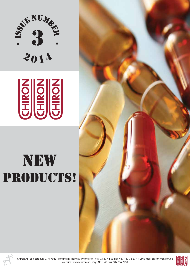



# new PRODUCTS!





Chiron AS Stiklestadvn. 1 N-7041 Trondheim Norway Phone No.: +47 73 87 44 90 Fax No.: +47 73 87 44 99 E-mail: chiron@chiron.no Website: www.chiron.no Org. No.: NO 967 607 657 MVA

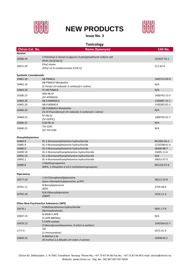

# **NEW PRODUCTS**



#### **Issue No. 3**

| <b>Toxicology</b>             |                                                                                    |                |  |
|-------------------------------|------------------------------------------------------------------------------------|----------------|--|
| <b>Chiron Cat. No.</b>        | Name (Synonym)                                                                     | <b>CAS No.</b> |  |
| Alcohol                       |                                                                                    |                |  |
| 10580.39                      | 1-Palmitoyl-2-oleoyl-sn-glycero-3-phosphoethanol sodium salt<br>(Peth (16:0/18:1)) | 322647-55-2    |  |
| 10671.20                      | Ethyl oleate<br>(Ethyl cis-9-octadecenoate (C18:1))                                | 111-62-6       |  |
| <b>Synthetic Cannabinoids</b> |                                                                                    |                |  |
| 10461.18                      | <b>AB-PINACA</b>                                                                   | 1445752-09-9   |  |
| 10462.18                      | <b>AB-PINACA Metabolite</b><br>(1-Pentyl-1H-indazole-3-carbonyl)-L-valine)         | N/A            |  |
| 10463.18                      | 5F-AB-PINACA                                                                       | N/A            |  |
| 10306.23                      | AKB-48-5F<br>(5F-APINACA)                                                          | 1400742-13-3   |  |
| 10464.20                      | AB-CHIMINACA                                                                       | 1185887-21-1   |  |
| 10465.20                      | AB-FUBINACA                                                                        | 1185282-01-2   |  |
|                               | <b>AB-FUBINACA Metabolite</b>                                                      |                |  |
| 10466.20                      | ((1-(4-Fluorobenzyl)-1H-indazole-3-carbonyl)-L-valine)                             | N/A            |  |
| 10469.23                      | 5F-PB-22                                                                           | 1400742-41-7   |  |
|                               | (5F-QUPIC)                                                                         |                |  |
| 10696.25                      | FUB-PB-22                                                                          | N/A            |  |
| 10640.23                      | THJ 2201<br>(5F-THJ 018)                                                           | N/A            |  |
| Phenylethylamines             |                                                                                    |                |  |
| 10484.9                       | DL-2-Bromoamphetamine hydrochloride                                                | 861006-36-2    |  |
| 10485.9                       | DL-3-Bromoamphetamine hydrochloride                                                | 1210708-61-4   |  |
| 10486.9                       | DL-4-Bromoamphetamine hydrochloride                                                | 58400-88-7     |  |
| 10490.10                      | DL-2-Bromomethamphetamine hydrochloride                                            | 23695-11-6     |  |
| 10491.10                      | DL-3-Bromomethamphetamine hydrochloride                                            | N/A            |  |
| 10492.1                       | DL-4-Bromomethamphetamine hydrochloride                                            | 30651-67-3     |  |
|                               | 2-Methiopropamine                                                                  |                |  |
| 10480.8                       | (MPA, 1-(thiophen-2-yl)-2-methylaminopropane)                                      | 801156-47-8    |  |
| <b>Piperazines</b>            |                                                                                    |                |  |
| 10577.10                      | 1-(4-Chlorophenyl)piperazine                                                       | 38212-33-8     |  |
|                               | (para-chlorophenylpiperazine, pCPP)                                                |                |  |
| 10701.11                      | N-Benzylpiperazine<br>(BZP)                                                        | 2759-28-6      |  |
| 10702.18                      | N,N-Dibenzylpiperazine<br>(DBZP)                                                   | 1034-11-3      |  |
|                               | <b>Other New Psychoactive Substances (NPS)</b>                                     |                |  |
|                               | 4-Methylcathinone hydrochloride                                                    |                |  |
| 10576.1                       | (Normephedrone)                                                                    | 6941-17-9      |  |
| 10697.19                      | N-MOB-5-APB<br>(5-APB-NBOMe)                                                       | N/A            |  |
| 10479.13                      | 5-EAPB oxalate<br>(5-Benzofuranethanamine, N-ethyl-α-methyl-)                      | 1445566-01-7   |  |
| 1777.9                        | 2AI<br>(2-Aminoindane)                                                             | 2975-41-9      |  |
| 10660.10                      | N-Methyl-2-AI<br>(N-methyl-2,3-dihydro-1H-inden-2-amine)                           | 10408-85-2     |  |
|                               |                                                                                    |                |  |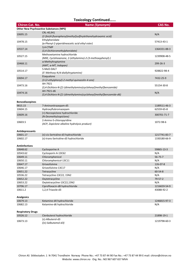#### **Toxicology Continued…...**

| <b>Chiron Cat. No.</b>   | Name (Synonym)                                                                           | <b>CAS No.</b> |  |
|--------------------------|------------------------------------------------------------------------------------------|----------------|--|
|                          | <b>Other New Psychoactive Substances (NPS)</b>                                           |                |  |
| 10695.15                 | CRL-40,941<br>(2-[bis(4-fluorophenyl)methyl]sulfinylethanehydroxamic acid)               |                |  |
| 10478.15                 | Ethylphenidate<br>(α-Phenyl-2-piperidineacetic acid ethyl ester)                         |                |  |
| 10537.14                 | 3,4-CTMP<br>(3,4-Dichloromethylphenidate)                                                | 1364331-88-3   |  |
| 10527.15                 | Methoxetamine hydrochloride<br>(MXE, Cyclohexanone, 2-(ethylamino)-2-(3-methoxyphenyl)-) |                |  |
| 10468.11                 | $\alpha$ -Methyltryptamine<br>(AMT, α-MT, Indopan)                                       | 299-26-3       |  |
| 10514.17                 | 5-MeO-DALT<br>(5'-Methoxy-N, N-diallyltryptamine)                                        | 928822-98-4    |  |
| 10694.17                 | Etaqualone<br>(3-(2-ethylphenyl)-2-methyl-quinazolin-4-one)                              |                |  |
| 10473.16                 | AH-7921<br>(3,4-Dichloro-N-[[1-(dimethylamino)cyclohexyl]methyl]benzamide)               | 55154-30-8     |  |
| 10474.16                 | AH-7921-d6<br>(3,4-Dichloro-N-[[1-(dimethylamino)cyclohexyl]methyl]benzamide-d6)         | N/A            |  |
| <b>Benzodiazepines</b>   |                                                                                          |                |  |
| 9815.15                  | 7-Aminonitrazepam-d5                                                                     | 1189511-46-3   |  |
| 10604.15                 | Hydroxyflubromazepam                                                                     | 62559-65-8     |  |
| 10609.16                 | (+)-Norzopiclone hydrochloride<br>(N-Desmethylzopiclone)                                 | 300701-71-7    |  |
| 10603.5                  | 2-Amino-5-chloropyridine<br>(ACP, Zopiclone alkaline hydrolysis product)                 |                |  |
| Antidepressants          |                                                                                          |                |  |
| 10601.17                 | (±)-cis-Sertraline-d3 hydrochloride                                                      | 1217741-83-7   |  |
| 10602.17                 | (±)-trans-Sertraline-d3 hydrochloride                                                    | 1330180-66-9   |  |
| <b>Antiinfectives</b>    |                                                                                          |                |  |
| 10648.62                 | Cyclosporine A                                                                           | 59865-13-3     |  |
| 10543.62                 | Cyclosporin A-13C62                                                                      | N/A            |  |
| 10649.11                 | Chloramphenicol                                                                          | $56 - 75 - 7$  |  |
| 10650.11                 | Chloramphenicol-13C11                                                                    | N/A            |  |
| 10647.17                 | Griseofulvine                                                                            | 126-07-8       |  |
| 10646.17                 | Griseofulvine-13C17                                                                      | N/A            |  |
| 10651.22                 | Tetracycline                                                                             | 60-54-8        |  |
| 10536.22                 | Tetracycline-13C22, 15N2                                                                 | N/A            |  |
| 10652.22                 | Oxytetracycline                                                                          | 79-57-2        |  |
| 10653.22                 | Oxytetracycline-13C22,15N2                                                               | N/A            |  |
| 10706.17                 | Ciprofloxacin-d8 hydrochloride                                                           | 1216659-54-9   |  |
| 10611.2                  | 1,2,4-Triazole-d3                                                                        | 43088-92-2     |  |
| <b>Analgesics</b>        |                                                                                          |                |  |
| 10679.13                 | Ketamine-d4 hydrochloride                                                                | 1246815-97-3   |  |
| 10682.13                 | Ketamine-d6 hydrochloride                                                                | N/A            |  |
| <b>Respiratory Drugs</b> |                                                                                          |                |  |
| 10526.12                 | Clenbuterol hydrochloride                                                                | 21898-19-1     |  |
|                          | $(\pm)$ -Albuterol-d3                                                                    | 1219798-60-3   |  |
| 10673.13                 | $((±)-Salbutamol-d3)$                                                                    |                |  |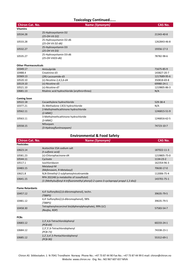#### **Toxicology Continued…...**

| <b>Chiron Cat. No.</b>       | Name (Synonym)                                   | <b>CAS No.</b> |
|------------------------------|--------------------------------------------------|----------------|
| <b>Vitamins</b>              |                                                  |                |
| 10534.28                     | 25-Hydroxyvitamin D2<br>(25-OH-Vit D2)           | 21343-40-8     |
| 10533.28                     | 25-Hydroxyvitamin D2-d6<br>(25-OH Vit D2-d6)     | 1262843-46-8   |
| 10532.27                     | 25-Hydroxyvitamin D3<br>(25-OH Vit D3)           | 19356-17-3     |
| 10535.27                     | 25-Hydroxyvitamin D3-d6<br>(25-OH VitD3-d6)      | 78782-98-6     |
| <b>Other Pharmaceuticals</b> |                                                  |                |
| 10349.17                     | Amisulpride                                      | 71675-85-9     |
| 10488.4                      | Creatinine-d3                                    | 143827-20-7    |
| 10369.13                     | (2R)-Lacosamide-d3                               | 1217689-95-6   |
| 10520.10                     | $(\pm)$ -Nicotine-2,4,5,6-d4                     | 350818-69-8    |
| 10519.10                     | $(\pm)$ -Nicotine-d3                             | 69980-24-1     |
| 10521.10                     | $(\pm)$ -Nicotine-d7                             | 1219805-86-3   |
| 10681.13                     | Ritalinic acid hydrochloride (erythro+threo)     | N/A            |
| <b>Coming Soon</b>           |                                                  |                |
| 10522.18                     | Cocaethylene hydrochloride                       | 529-38-4       |
| 10377.21                     | DL-Methadone-13C6 hydrochloride                  | N/A            |
| 10562.11                     | 2-Methylmethcathinone hydrochloride<br>$(2-MMC)$ | 1246815-51-9   |
| 10563.11                     | 3-Methylmethcathinone hydrochloride<br>$(3-MMC)$ | 1246816-62-5   |
| 10558.15                     | Nifoxipam<br>(3-Hydroxyflunitrazepam)            | 74723-10-7     |

## **Environmental & Food Safety**

| <b>Chiron Cat. No.</b>  | Name (Synonym)                                                                                                                  | <b>CAS No.</b> |
|-------------------------|---------------------------------------------------------------------------------------------------------------------------------|----------------|
| <b>Pesticides</b>       |                                                                                                                                 |                |
| 10623.14                | Acetochlor ESA sodium salt<br>(t-sulfonic acid)                                                                                 | 187022-11-3    |
| 10581.23                | (±)-Chlorophacinone-d4                                                                                                          | 1219805-75-0   |
| 10544.11                | Cycloate                                                                                                                        | 1134-23-2      |
| 10517.1                 | Isochloridazon                                                                                                                  | 162354-96-3    |
| 10483.15                | Metalaxyl-M<br>(Mefenoxam, R-Metalaxyl)                                                                                         | 70630-17-0     |
| 10621.8                 | N,N-Dimethyl-2-sulphamoylnicotinamide                                                                                           | 112006-75-4    |
| 10641.15                | RPA 202248 (a metabolite of isoxaflutol)<br>(1-(Methylsulfonyl-4-trifluoromethyl phenyl)-2-cyano-3-cyclopropyl propyl-1,3 dio)) | 143701-75-1    |
| <b>Flame Retardants</b> |                                                                                                                                 |                |
| 10457.12                | 4,4'-Sulfonylbis(2,6-dibromophenol), techn.<br>(TBBPS)                                                                          | 39635-79-5     |
| 10481.12                | 4,4'-Sulfonylbis(2,6-dibromophenol), 98%<br>(TBBPS)                                                                             | 39635-79-5     |
| 10458.30                | Tetraphenylrecorcinol bis(diphenylphosphate), 99% (LC)<br>(Reofos, RDP)                                                         | 57583-54-7     |
| <b>PCBs</b>             |                                                                                                                                 |                |
| 10683.12                | 2,3',4,6-Tetrachlorobiphenyl<br>$(PCB-69)$                                                                                      | 60233-24-1     |
| 10684.12                | 2,3',5',6-Tetrachlorobiphenyl<br>$(PCB-73)$                                                                                     | 74338-23-1     |
| 10685.12                | 2,2',3,4',5-Pentachlorobiphenyl<br>$(PCB-90)$                                                                                   | 55312-69-1     |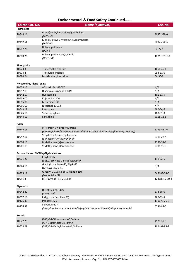#### **Environmental & Food Safety Continued…….**

| <b>Chiron Cat. No.</b>          | Name (Synonym)                                                                                                    | <b>CAS No.</b> |
|---------------------------------|-------------------------------------------------------------------------------------------------------------------|----------------|
| <b>Phthalates</b>               |                                                                                                                   |                |
| 10548.16                        | Mono(2-ethyl-5-oxohexyl) phthalate<br>(MEOHP)                                                                     | 40321-98-0     |
| 10549.16                        | Mono(2-ethyl-5-hydroxyhexyl) phthalate<br>(MEHHP)                                                                 | 40321-99-1     |
| 10587.28                        | Didecyl phthalate<br>(DDCP)                                                                                       | 84-77-5        |
| 10588.28                        | Didecyl phthalate-3,4,5,6-d4<br>$(DDCP-d4)$                                                                       | 1276197-18-2   |
| <b>Tinorganics</b>              |                                                                                                                   |                |
| 10573.3                         | Trimethyltin chloride                                                                                             | 1066-45-1      |
| 10574.4                         | Triethyltin chloride                                                                                              | 994-31-0       |
| 10584.24                        | Bis(tri-n-butyltin) oxide                                                                                         | 56-35-9        |
| <b>Mycotoxins, Plant Toxins</b> |                                                                                                                   |                |
| 10658.17                        | Aflatoxin M1-13C17                                                                                                | N/A            |
| 10657.19                        | Diacetoxyscirpenol-13C19                                                                                          | N/A            |
| 10642.17                        | Hyoscamine                                                                                                        | 101-31-5       |
| 10659.00                        | Kojic Acid-13C6                                                                                                   | N/A            |
| 10655.00                        | Melamine-13C                                                                                                      | N/A            |
| 10656.00                        | Nivalenol-13C12                                                                                                   | N/A            |
| 10643.18                        | Retrorsine                                                                                                        | 480-54-6       |
| 10645.18                        | Seneciophylline                                                                                                   | 480-81-9       |
| 10644.19                        | Senkirkine                                                                                                        | 2318-18-5      |
| <b>PAHs</b>                     |                                                                                                                   |                |
| 10546.16                        | 9-Hydroxy-9-n-propylfluorene<br>(9-n-Propyl-9H-fluoren-9-ol, Degradation product of 9-n-Propylfluorene (1694.16)) | 62995-67-6     |
| 10547.16                        | 9-Hydroxy-9-n-methylfluorene<br>(9-n-Methyl-9H-fluoren-9-ol)                                                      | 6311-22-4      |
| 10560.19                        | 8-Methylbenz[a]anthracene                                                                                         | 2381-31-9      |
| 10561.19                        | 9-Methylbenz[a]anthracene                                                                                         | 2381-16-0      |
|                                 | Fatty acids and MCPDs/Glycidyl esters                                                                             |                |
| 10671.20                        | Ethyl oleate<br>(C18:1, Ethyl cis-9-octadecenoate)                                                                | 111-62-6       |
| 10524.19                        | Glycidyl palmitate-d5, Gly-P-d5<br>(Glycidyl C16:0-d5)                                                            | N/A            |
| 10525.19                        | Glyceryl-1,1,2,3,3-d5 1-Monooleate<br>(Monoolein-d5)                                                              | 565183-24-6    |
| 10551.3                         | (+/-)-Glycidol-1,1,2,3,3-d5                                                                                       | 12468819-20-4  |
| <b>Pigments</b>                 |                                                                                                                   |                |
| 10542.32                        | Direct Red 28, 98%<br>(Congo red)                                                                                 | 573-58-0       |
| 10557.16                        | Indigo dye (Vat Blue 37)                                                                                          | 482-89-3       |
| 10475.33                        | Irganox 1726                                                                                                      | 110675-26-8    |
| 10476.33                        | Solvent Blue 4<br>(1-Naphthalenemethanol, α, α-bis[4-(dimethylamino)phenyl]-4-(phenylamino)-)                     | 6786-83-0      |
| <b>Sterols</b>                  |                                                                                                                   |                |
| 10677.29                        | (24R)-24-Ethylcholesta-3,5-diene<br>((24R)-Stigmasta-3,5-diene)                                                   | 4970-37-0      |
| 10678.28                        | (24R)-24-Methylcholesta-3,5-diene                                                                                 | 102491-95-2    |